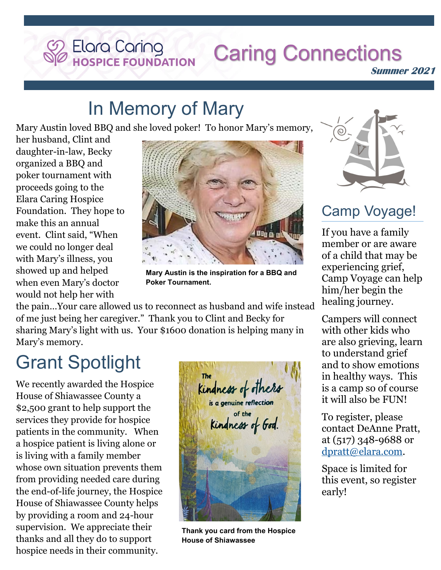# **Caring Connections**

**Summer 2021**

## In Memory of Mary

Elara Caring<br>Hospice Foundation

Mary Austin loved BBQ and she loved poker! To honor Mary's memory,

her husband, Clint and daughter-in-law, Becky organized a BBQ and poker tournament with proceeds going to the Elara Caring Hospice Foundation. They hope to make this an annual event. Clint said, "When we could no longer deal with Mary's illness, you showed up and helped when even Mary's doctor would not help her with



**Mary Austin is the inspiration for a BBQ and Poker Tournament.** 

the pain…Your care allowed us to reconnect as husband and wife instead of me just being her caregiver." Thank you to Clint and Becky for sharing Mary's light with us. Your \$1600 donation is helping many in Mary's memory.

## Grant Spotlight

We recently awarded the Hospice House of Shiawassee County a \$2,500 grant to help support the services they provide for hospice patients in the community. When a hospice patient is living alone or is living with a family member whose own situation prevents them from providing needed care during the end-of-life journey, the Hospice House of Shiawassee County helps by providing a room and 24-hour supervision. We appreciate their thanks and all they do to support hospice needs in their community.



**Thank you card from the Hospice House of Shiawassee**



#### Camp Voyage!

If you have a family member or are aware of a child that may be experiencing grief, Camp Voyage can help him/her begin the healing journey.

Campers will connect with other kids who are also grieving, learn to understand grief and to show emotions in healthy ways. This is a camp so of course it will also be FUN!

To register, please contact DeAnne Pratt, at (517) 348-9688 or [dpratt@elara.com.](mailto:dpratt@elara.com) 

Space is limited for this event, so register early!